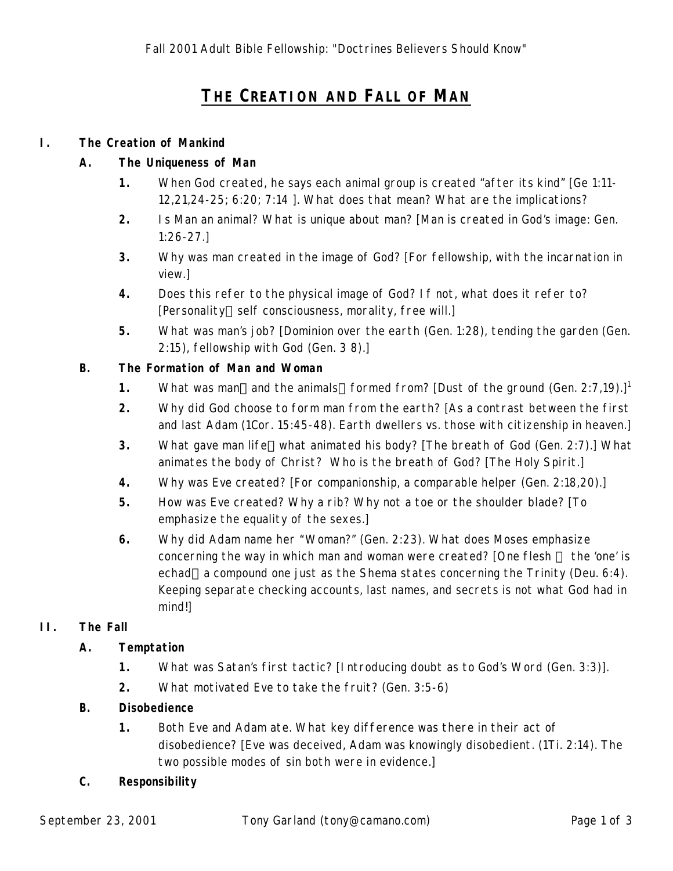# **THE CREATION AND FALL OF MAN**

#### **I. The Creation of Mankind**

#### **A. The Uniqueness of Man**

- **1.** When God created, he says each animal group is created "after its kind" [Ge 1:11- 12,21,24-25; 6:20; 7:14 ]. What does that mean? What are the implications?
- **2.** Is Man an animal? What is unique about man? [Man is created in God's image: Gen. 1:26-27.]
- **3.** Why was man created in the image of God? [For fellowship, with the incarnation in view.]
- **4.** Does this refer to the *physical image* of God? If not, what does it refer to? [Personality-self consciousness, morality, free will.]
- **5.** What was man's job? [Dominion over the earth (Gen. 1:28), tending the garden (Gen. 2:15), fellowship with God (Gen. 3 8).]

#### **B. The Formation of Man and Woman**

- **1.** What was man—and the animals—formed from? [Dust of the ground (Gen. 2:7,19).]<sup>1</sup>
- **2.** Why did God choose to form man from the earth? [As a contrast between the first and last Adam (1Cor. 15:45-48). Earth dwellers vs. those with citizenship in heaven.]
- **3.** What gave man life—what animated his body? [The breath of God (Gen. 2:7).] What animates the body of Christ? Who is the breath of God? [The Holy Spirit.]
- **4.** Why was Eve created? [For companionship, a comparable helper (Gen. 2:18,20).]
- **5.** How was Eve created? Why a rib? Why not a toe or the shoulder blade? [To emphasize the equality of the sexes.]
- **6.** Why did Adam name her "Woman?" (Gen. 2:23). What does Moses emphasize concerning the way in which man and woman were created? [One flesh - the 'one' is echad—a compound one just as the *Shema* states concerning the Trinity (Deu. 6:4). Keeping separate checking accounts, last names, and secrets is not what God had in mind!]

#### **II. The Fall**

#### **A. Temptation**

- **1.** What was Satan's first tactic? [Introducing doubt as to God's Word (Gen. 3:3)].
- **2.** What motivated Eve to take the fruit? (Gen. 3:5-6)

#### **B. Disobedience**

**1.** Both Eve and Adam ate. What key difference was there in their act of disobedience? [Eve was deceived, Adam was *knowingly disobedient*. (1Ti. 2:14). The two possible modes of sin both were in evidence.]

#### **C. Responsibility**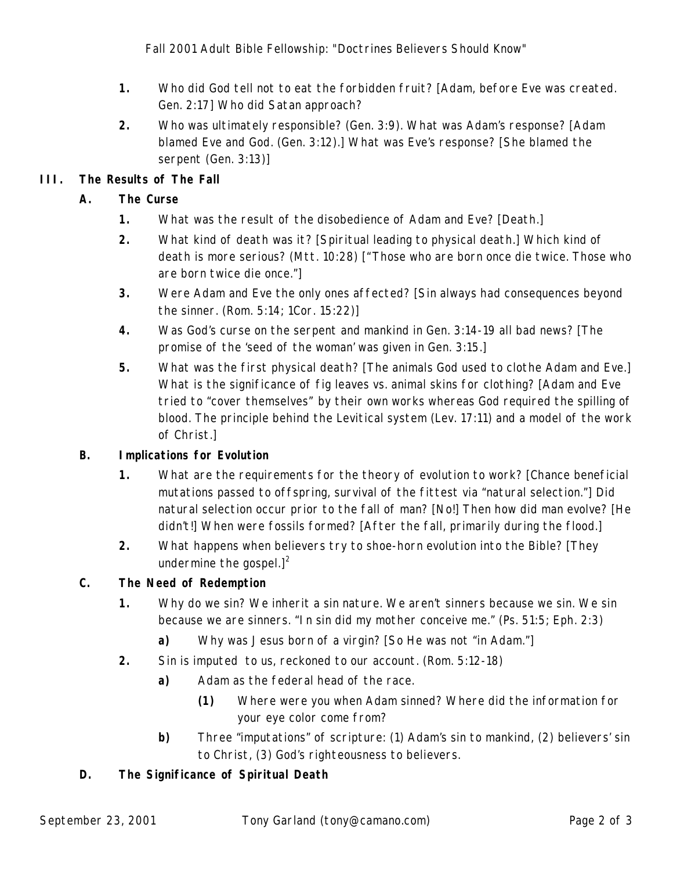- **1.** Who did God tell not to eat the forbidden fruit? [Adam, before Eve was created. Gen. 2:17] Who did Satan approach?
- **2.** Who was ultimately responsible? (Gen. 3:9). What was Adam's response? [Adam blamed Eve *and God*. (Gen. 3:12).] What was Eve's response? [She blamed the serpent (Gen. 3:13)]

## **III. The Results of The Fall**

### **A. The Curse**

- **1.** What was the result of the disobedience of Adam and Eve? [Death.]
- **2.** What kind of death was it? [Spiritual leading to physical death.] Which kind of death is more serious? (Mtt. 10:28) ["Those who are born once die twice. Those who are born twice die once."]
- **3.** Were Adam and Eve the only ones affected? [Sin always had consequences beyond the sinner. (Rom. 5:14; 1Cor. 15:22)]
- **4.** Was God's curse on the serpent and mankind in Gen. 3:14-19 all bad news? [The promise of the 'seed of the woman' was given in Gen. 3:15.]
- **5.** What was the first physical death? [The animals God used to clothe Adam and Eve.] What is the significance of fig leaves vs. animal skins for clothing? [Adam and Eve tried to "cover themselves" by their own works whereas God required the spilling of blood. The principle behind the Levitical system (Lev. 17:11) and a model of the work of Christ.]

### **B. Implications for Evolution**

- **1.** What are the requirements for the theory of evolution to work? [Chance beneficial mutations passed to offspring, survival of the fittest via "natural selection."] Did natural selection occur prior to the fall of man? [No!] Then how did man evolve? [He didn't!] When were fossils formed? [After the fall, primarily during the flood.]
- **2.** What happens when believers try to shoe-horn evolution into the Bible? [They undermine the gospel.] $<sup>2</sup>$ </sup>

### **C. The Need of Redemption**

- **1.** Why do we sin? We *inherit* a sin nature. *We aren't sinners because we sin. We sin because we are sinners.* "In sin did my mother conceive me." (Ps. 51:5; Eph. 2:3)
	- **a)** Why was Jesus born of a virgin? [So He was not "in Adam."]
- **2.** Sin is *imputed* to us, reckoned to our account. (Rom. 5:12-18)
	- **a)** Adam as the *federal head* of the race.
		- **(1)** Where were you when Adam sinned? Where did the information for your eye color come from?
	- **b)** Three "imputations" of scripture: (1) Adam's sin to mankind, (2) believers' sin to Christ, (3) God's righteousness to believers.

### **D. The Significance of Spiritual Death**